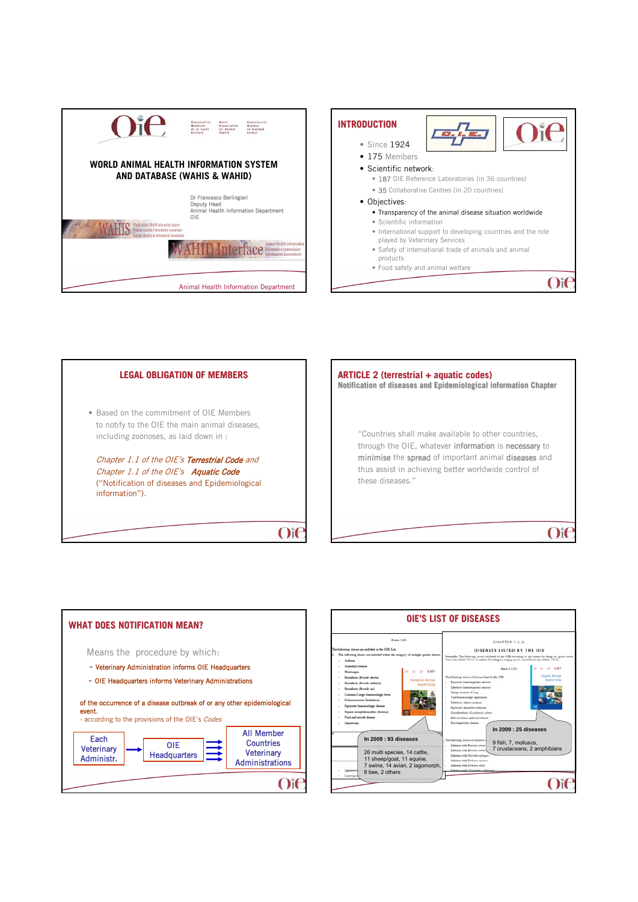







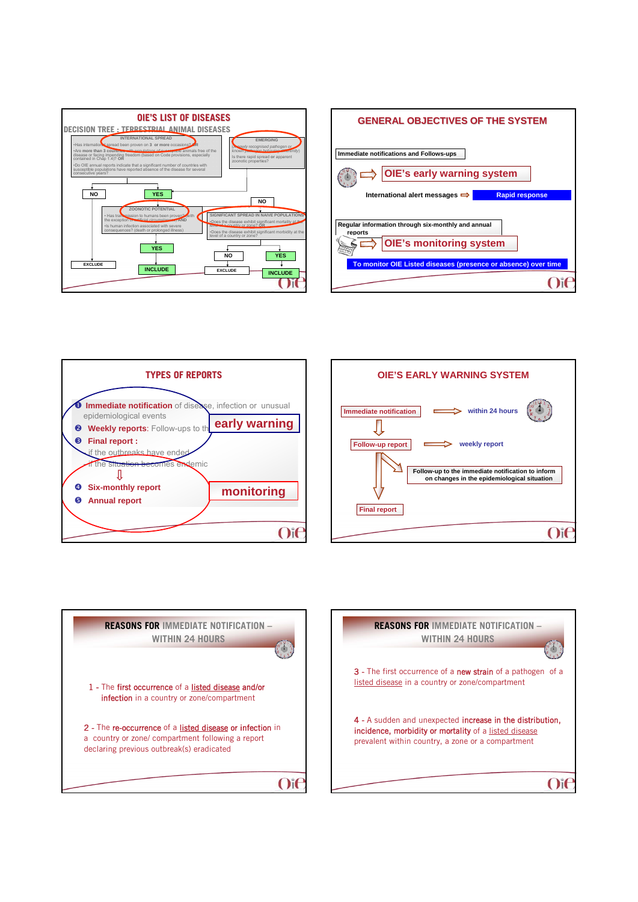









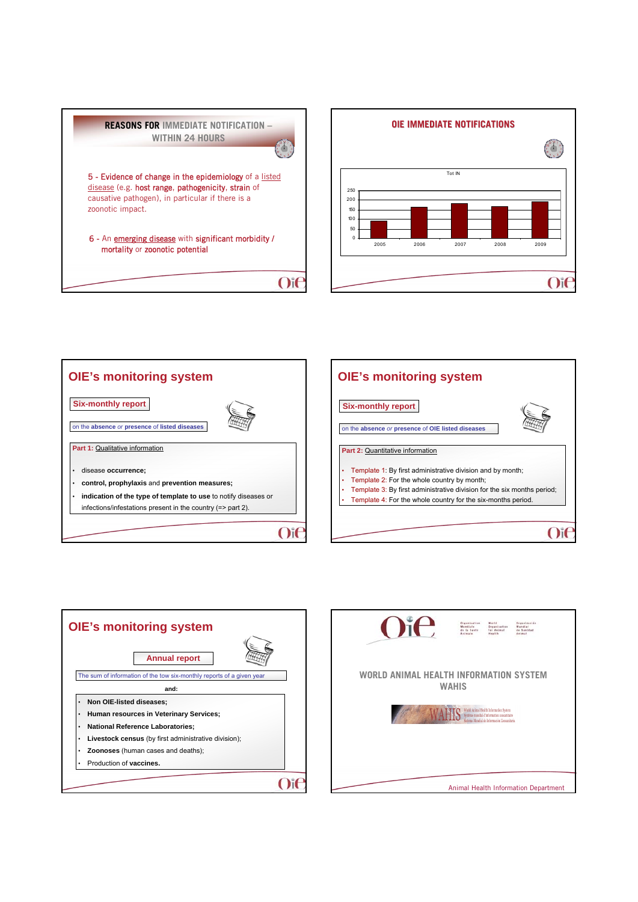







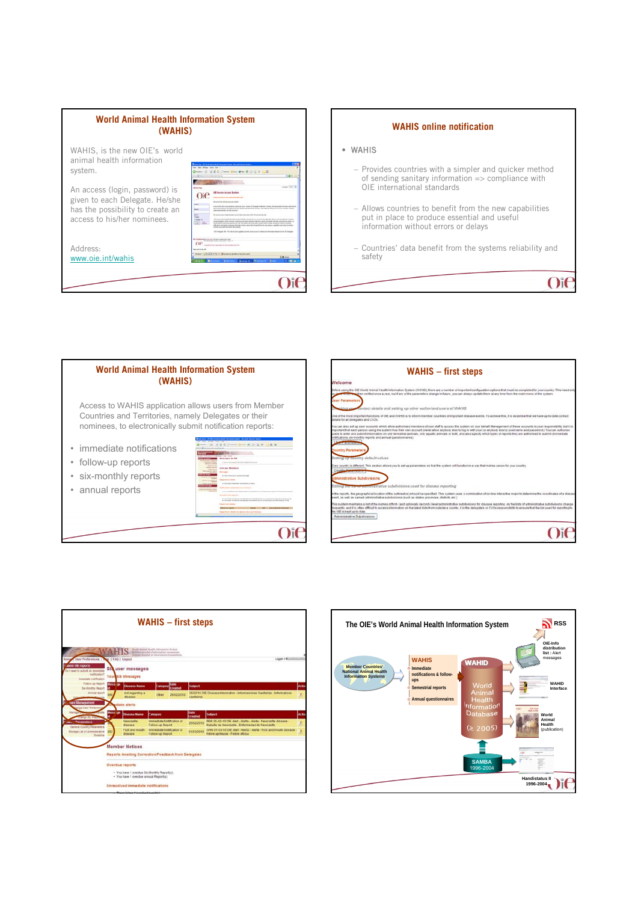





| Welcome<br>Before using the OIE World Animal Health Information System (WAHS). there are a number of important configuration collons that must be completed for your county. This need only<br>Then verified once a year, but if any of the parameters change in future, you can always update them at any time from the main menu of the system.<br><b>Jser Parameters</b><br>contact details and setting up other authorised users of WAHIS<br>One of the most important functions of OIE and WAHS is to inform member countries of important disease events. To active ethis, it is essential that we have up-to-date contact<br>details for all delegates and CVOs.<br>You can also set up user accounts which allow authorised members of your staff to access the system on your behalf. Management of these accounts is your responsibility, but it is<br>mportant that each person using the system has their own account (never allow anybody else to log in with your (or anybody else's) username and password.) You can authorise<br>users to enter and submit information on only terrestrial animals, only aquatic animals or both, and also specify which types of reports they are authorised to submit (immediate |  |
|------------------------------------------------------------------------------------------------------------------------------------------------------------------------------------------------------------------------------------------------------------------------------------------------------------------------------------------------------------------------------------------------------------------------------------------------------------------------------------------------------------------------------------------------------------------------------------------------------------------------------------------------------------------------------------------------------------------------------------------------------------------------------------------------------------------------------------------------------------------------------------------------------------------------------------------------------------------------------------------------------------------------------------------------------------------------------------------------------------------------------------------------------------------------------------------------------------------------------------|--|
|                                                                                                                                                                                                                                                                                                                                                                                                                                                                                                                                                                                                                                                                                                                                                                                                                                                                                                                                                                                                                                                                                                                                                                                                                                    |  |
|                                                                                                                                                                                                                                                                                                                                                                                                                                                                                                                                                                                                                                                                                                                                                                                                                                                                                                                                                                                                                                                                                                                                                                                                                                    |  |
|                                                                                                                                                                                                                                                                                                                                                                                                                                                                                                                                                                                                                                                                                                                                                                                                                                                                                                                                                                                                                                                                                                                                                                                                                                    |  |
|                                                                                                                                                                                                                                                                                                                                                                                                                                                                                                                                                                                                                                                                                                                                                                                                                                                                                                                                                                                                                                                                                                                                                                                                                                    |  |
|                                                                                                                                                                                                                                                                                                                                                                                                                                                                                                                                                                                                                                                                                                                                                                                                                                                                                                                                                                                                                                                                                                                                                                                                                                    |  |
| toblications, six-monthly reports and annual questionnaires).<br><b>CONTRACTOR</b>                                                                                                                                                                                                                                                                                                                                                                                                                                                                                                                                                                                                                                                                                                                                                                                                                                                                                                                                                                                                                                                                                                                                                 |  |
| <b>cuntry Parameter</b>                                                                                                                                                                                                                                                                                                                                                                                                                                                                                                                                                                                                                                                                                                                                                                                                                                                                                                                                                                                                                                                                                                                                                                                                            |  |
| Setting up-country default values                                                                                                                                                                                                                                                                                                                                                                                                                                                                                                                                                                                                                                                                                                                                                                                                                                                                                                                                                                                                                                                                                                                                                                                                  |  |
| ivery country is different. This section allows you to set up parameters so that the system will function in a way that makes sense for your country<br>Country PL                                                                                                                                                                                                                                                                                                                                                                                                                                                                                                                                                                                                                                                                                                                                                                                                                                                                                                                                                                                                                                                                 |  |
| dministrative Subdivisions                                                                                                                                                                                                                                                                                                                                                                                                                                                                                                                                                                                                                                                                                                                                                                                                                                                                                                                                                                                                                                                                                                                                                                                                         |  |
| Editing are not of commutatrative subdivisions used for disease reporting                                                                                                                                                                                                                                                                                                                                                                                                                                                                                                                                                                                                                                                                                                                                                                                                                                                                                                                                                                                                                                                                                                                                                          |  |
| in the reports. the geographical location of the outbreak(s) should be specified. This system uses a combination of on-line interactive maps to determine the coordinates of a disease<br>event as well as named administrative subdivisions (such as states, provinces, districts etc.).                                                                                                                                                                                                                                                                                                                                                                                                                                                                                                                                                                                                                                                                                                                                                                                                                                                                                                                                          |  |
| This system maintains a list of the names of first- (and optionally second-) level administrative subdivisions for disease reporting. As the lists of administrative subdivisions change<br>treguerity, and it is often difficult to access information on the latest lists from outside a county; it is the delegate's or CVOs responsibility to ensure that the list used for reporting to<br>the Off is kept up to date.                                                                                                                                                                                                                                                                                                                                                                                                                                                                                                                                                                                                                                                                                                                                                                                                        |  |
| Administrative Subdivisions                                                                                                                                                                                                                                                                                                                                                                                                                                                                                                                                                                                                                                                                                                                                                                                                                                                                                                                                                                                                                                                                                                                                                                                                        |  |
|                                                                                                                                                                                                                                                                                                                                                                                                                                                                                                                                                                                                                                                                                                                                                                                                                                                                                                                                                                                                                                                                                                                                                                                                                                    |  |



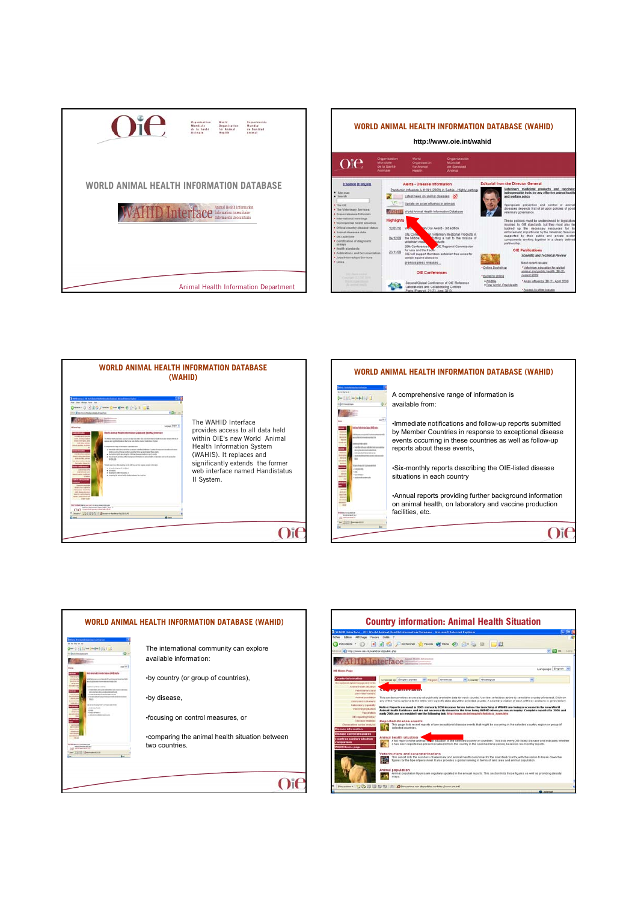









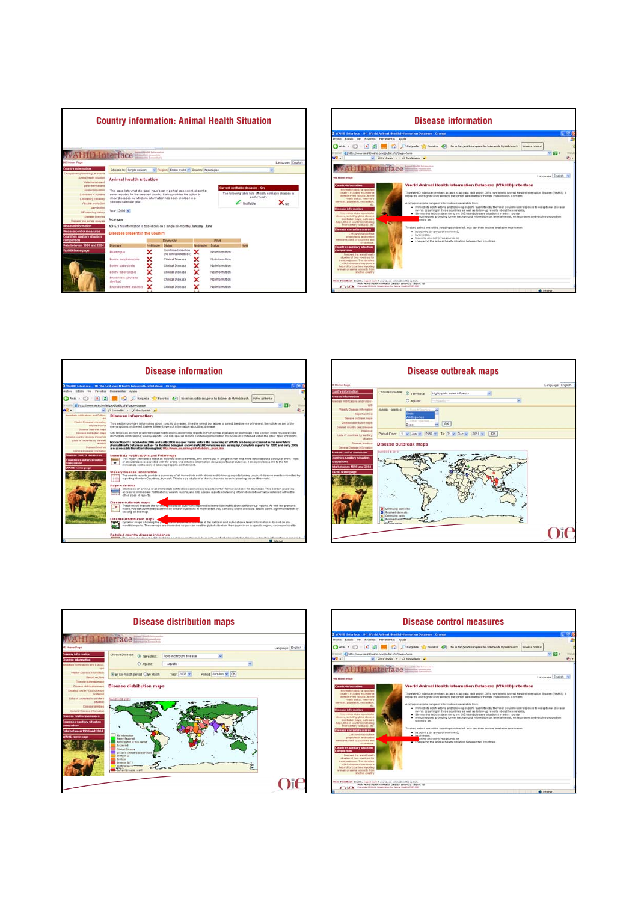

|                                                                                                                                                                                                                                                                                                                                                                                                                                                                                                                                                                                                                                                                                                                                                                                                                                                                                                                                                                                                              | <b>Disease information</b>                                                                                                                                                                                                                                                                                                                                                                                                                                                                                                                                                                                                                                                                                                                                                                                                                                                                                                                                                                                                                             |  |
|--------------------------------------------------------------------------------------------------------------------------------------------------------------------------------------------------------------------------------------------------------------------------------------------------------------------------------------------------------------------------------------------------------------------------------------------------------------------------------------------------------------------------------------------------------------------------------------------------------------------------------------------------------------------------------------------------------------------------------------------------------------------------------------------------------------------------------------------------------------------------------------------------------------------------------------------------------------------------------------------------------------|--------------------------------------------------------------------------------------------------------------------------------------------------------------------------------------------------------------------------------------------------------------------------------------------------------------------------------------------------------------------------------------------------------------------------------------------------------------------------------------------------------------------------------------------------------------------------------------------------------------------------------------------------------------------------------------------------------------------------------------------------------------------------------------------------------------------------------------------------------------------------------------------------------------------------------------------------------------------------------------------------------------------------------------------------------|--|
| WAHD beterface : OIE World Animal Health Information Database : Orange                                                                                                                                                                                                                                                                                                                                                                                                                                                                                                                                                                                                                                                                                                                                                                                                                                                                                                                                       |                                                                                                                                                                                                                                                                                                                                                                                                                                                                                                                                                                                                                                                                                                                                                                                                                                                                                                                                                                                                                                                        |  |
| Archive Editors<br>Favoritos Hercanierdas Autola<br><b>Time</b>                                                                                                                                                                                                                                                                                                                                                                                                                                                                                                                                                                                                                                                                                                                                                                                                                                                                                                                                              |                                                                                                                                                                                                                                                                                                                                                                                                                                                                                                                                                                                                                                                                                                                                                                                                                                                                                                                                                                                                                                                        |  |
| CO Atria -                                                                                                                                                                                                                                                                                                                                                                                                                                                                                                                                                                                                                                                                                                                                                                                                                                                                                                                                                                                                   | [8] [2] Regards C Fareston (2) No on han podds response to between the MyWebSearch.<br>Vulver a intentar                                                                                                                                                                                                                                                                                                                                                                                                                                                                                                                                                                                                                                                                                                                                                                                                                                                                                                                                               |  |
| (E) N1p. Deem on #43-444 production sho's age-home                                                                                                                                                                                                                                                                                                                                                                                                                                                                                                                                                                                                                                                                                                                                                                                                                                                                                                                                                           | $-51+$                                                                                                                                                                                                                                                                                                                                                                                                                                                                                                                                                                                                                                                                                                                                                                                                                                                                                                                                                                                                                                                 |  |
| WR-                                                                                                                                                                                                                                                                                                                                                                                                                                                                                                                                                                                                                                                                                                                                                                                                                                                                                                                                                                                                          | Dissingle - Dissipanch                                                                                                                                                                                                                                                                                                                                                                                                                                                                                                                                                                                                                                                                                                                                                                                                                                                                                                                                                                                                                                 |  |
| <b>WAHID Interface</b>                                                                                                                                                                                                                                                                                                                                                                                                                                                                                                                                                                                                                                                                                                                                                                                                                                                                                                                                                                                       |                                                                                                                                                                                                                                                                                                                                                                                                                                                                                                                                                                                                                                                                                                                                                                                                                                                                                                                                                                                                                                                        |  |
| Oil Hume Page                                                                                                                                                                                                                                                                                                                                                                                                                                                                                                                                                                                                                                                                                                                                                                                                                                                                                                                                                                                                | Language: English                                                                                                                                                                                                                                                                                                                                                                                                                                                                                                                                                                                                                                                                                                                                                                                                                                                                                                                                                                                                                                      |  |
| Country information<br>intermation about a specifient<br>country, including experiment<br>showang avered reports, around<br>Finally plates, veterinary<br>services, populators, vaccinators,<br>ARC:<br>Disease information<br>Information about a particular<br>stolester, including global straners<br>Ideale Baudicer Holand, CA 2524-4444<br>maps, futurof countries indicating<br>their sankary statuties, etc.<br><b>Issues control measures</b><br>Lists and maps of the<br>printflutectic and control<br>neer used to counties and<br>by domain.<br>countries sankary situation<br><b>PERSONAL PRIMARY</b><br>Compare the arenal healty<br>silvation of two countries for<br>trade purposes. This identifies<br><b>WEICH ISSNAKES INAV 2014 R.</b><br>hazard for courtries importing<br>aronati ce arenal prickatto from<br><b>MARTINE COLERAN</b><br>Used Fortelback Stud the custod loan if you have a constant on this cyclery.<br>World Animal Health Information Database (WAMG) - Version: 1.5 | World Animal Health Information Database (WAHID) Interface<br>The WAHID Interface provides access to all data held within OIE's new World Animal Health Internation System (WAHIS) if<br>replaces and significantly extends the fornier web interface named Handistatus II Dystem.<br>A comprehensive range of information is available from<br>. Immediate notifications and follow-up reports submitted by Member Countries in response to exceptional disease<br>events occurring in these countries as well as follow-up reports about these events.<br>. Six-monthly reports describing the OIE-balled disease situations in each country<br>pual reports providing further background information on animal health, on laboratory and vaccine production.<br><b>Ilbes, etc.</b><br>To start, extert one of the headings on the left. You can then explore available information<br>. By county car group of countries),<br>· Indicate.<br>. focusing on control triessures, or<br>. comparing the animal health situation between two countries. |  |
| CALCA Counter it more Department for monal main (TID SKT)                                                                                                                                                                                                                                                                                                                                                                                                                                                                                                                                                                                                                                                                                                                                                                                                                                                                                                                                                    | <b>MD</b> Internet                                                                                                                                                                                                                                                                                                                                                                                                                                                                                                                                                                                                                                                                                                                                                                                                                                                                                                                                                                                                                                     |  |
|                                                                                                                                                                                                                                                                                                                                                                                                                                                                                                                                                                                                                                                                                                                                                                                                                                                                                                                                                                                                              |                                                                                                                                                                                                                                                                                                                                                                                                                                                                                                                                                                                                                                                                                                                                                                                                                                                                                                                                                                                                                                                        |  |







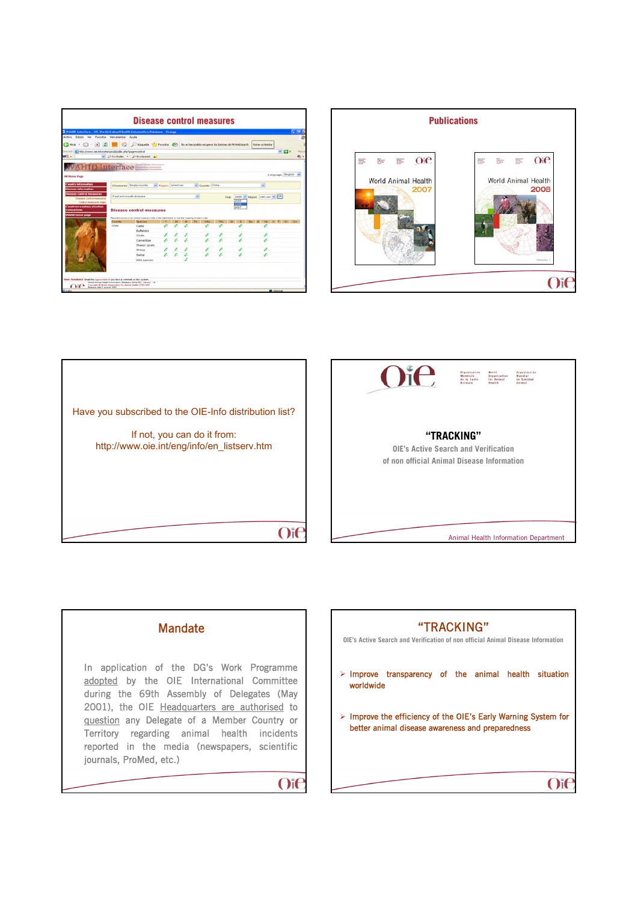|                                                                                     |                              | WAHD Interface - OIE World Animal Health Information Database - Orange                                          |                            |     |                          |       |      |                            |                   | - 16         |
|-------------------------------------------------------------------------------------|------------------------------|-----------------------------------------------------------------------------------------------------------------|----------------------------|-----|--------------------------|-------|------|----------------------------|-------------------|--------------|
| Acchieve Editories Var                                                              | Favoritos Herranientas Austa |                                                                                                                 |                            |     |                          |       |      |                            |                   |              |
| Charles +<br>i mi                                                                   |                              | Disamb Transfer (2) Favorite (2) No se han podds recuperar los botones de Hylleddearch.                         |                            |     |                          |       |      | Vulver a Viterilar         |                   |              |
| This color (a) http://www.car.int/wahat-prod/public.php?page=control                |                              |                                                                                                                 |                            |     |                          |       |      |                            | $-511$            | <b>HEALA</b> |
| WR-                                                                                 |                              | w Dissingles - Diffundament all                                                                                 |                            |     |                          |       |      |                            |                   | ÷œ           |
|                                                                                     |                              |                                                                                                                 |                            |     |                          |       |      |                            |                   |              |
| VAHID Interface                                                                     |                              |                                                                                                                 |                            |     |                          |       |      |                            |                   |              |
|                                                                                     |                              |                                                                                                                 |                            |     |                          |       |      |                            |                   |              |
| Oill Human Page                                                                     |                              |                                                                                                                 |                            |     |                          |       |      |                            | Language: English |              |
| Country information                                                                 |                              | Choose by Single county                                                                                         |                            |     | <sup>w</sup> County Chie |       |      | υ                          |                   |              |
| <b>Stational Information</b>                                                        |                              |                                                                                                                 | <b>W. Resistr Americas</b> |     |                          |       |      |                            |                   |              |
| Issuese control measures                                                            | Foot and mouth disease       |                                                                                                                 |                            | si. |                          |       |      |                            |                   |              |
| Disease control measures                                                            |                              |                                                                                                                 |                            |     |                          | Vear. | 2005 | 2006 w Report Jan-Jun w OK |                   |              |
| Core-of-Americans Magic                                                             |                              |                                                                                                                 |                            |     |                          |       | 2007 |                            |                   |              |
|                                                                                     |                              |                                                                                                                 |                            |     |                          |       |      |                            |                   |              |
|                                                                                     |                              | <b>Disease control measures</b>                                                                                 |                            |     |                          |       |      |                            |                   |              |
|                                                                                     |                              |                                                                                                                 |                            |     |                          |       |      |                            |                   |              |
|                                                                                     | County                       | Plane the mount over control meaning code in the faith below to use the meaning of aimh code.<br><b>Species</b> |                            |     | Office                   |       |      |                            | CFI CH            |              |
|                                                                                     | Chile                        | Cattle                                                                                                          |                            |     |                          | z     | z    |                            |                   |              |
|                                                                                     |                              | <b>Duffaloes</b>                                                                                                |                            |     |                          |       |      |                            |                   |              |
|                                                                                     |                              | <b>Ookls</b>                                                                                                    |                            |     |                          |       |      |                            |                   |              |
|                                                                                     |                              | Camelinae                                                                                                       |                            |     |                          |       |      |                            |                   |              |
|                                                                                     |                              | Sheez / coats                                                                                                   |                            |     |                          |       |      |                            |                   |              |
|                                                                                     |                              | liheed<br><b>Dwine</b>                                                                                          |                            |     |                          | ı     | s    | x                          |                   |              |
|                                                                                     |                              |                                                                                                                 |                            |     |                          |       |      |                            |                   |              |
| <b>Countries sandary situation</b><br><b>Jenguaritane</b><br><b>WAFRD home page</b> |                              | Wild species                                                                                                    |                            |     |                          |       |      |                            |                   |              |





 $O$ i $C$ 

## **Mandate**

In application of the DG's Work Programme adopted by the OIE International Committee during the 69th Assembly of Delegates (May 2001), the OIE Headquarters are authorised to question any Delegate of a Member Country or Territory regarding animal health incidents reported in the media (newspapers, scientific journals, ProMed, etc.)

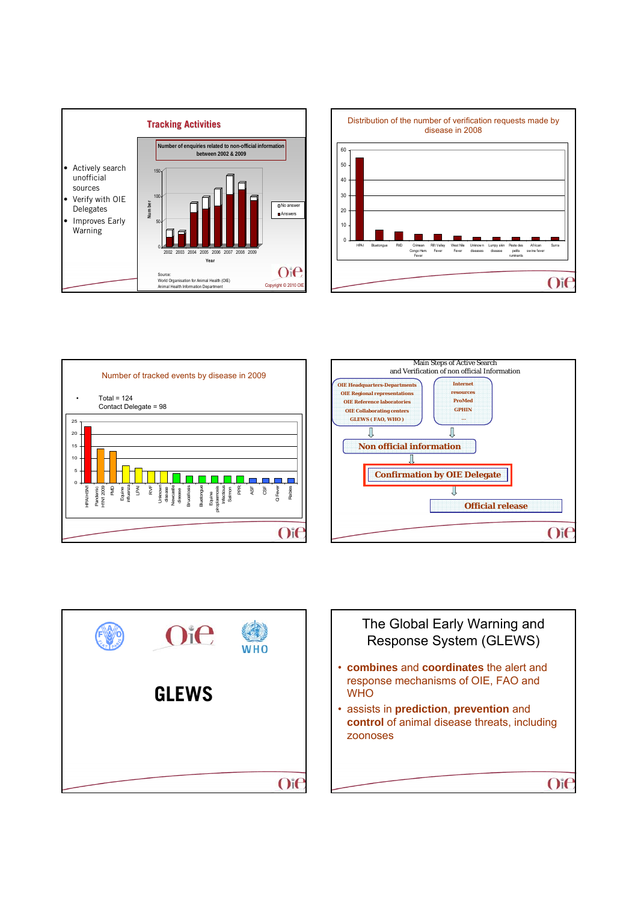